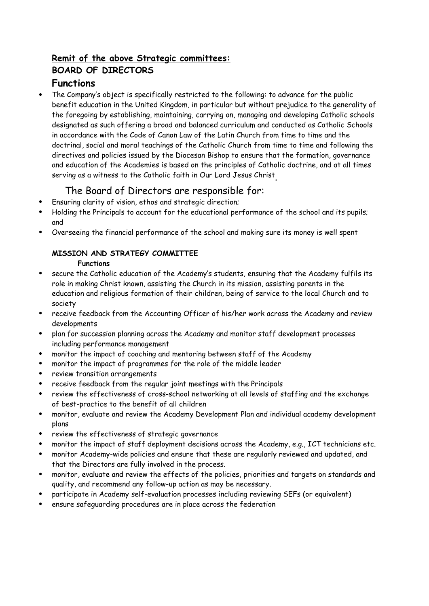# **Remit of the above Strategic committees: BOARD OF DIRECTORS Functions**

 The Company's object is specifically restricted to the following: to advance for the public benefit education in the United Kingdom, in particular but without prejudice to the generality of the foregoing by establishing, maintaining, carrying on, managing and developing Catholic schools designated as such offering a broad and balanced curriculum and conducted as Catholic Schools in accordance with the Code of Canon Law of the Latin Church from time to time and the doctrinal, social and moral teachings of the Catholic Church from time to time and following the directives and policies issued by the Diocesan Bishop to ensure that the formation, governance and education of the Academies is based on the principles of Catholic doctrine, and at all times serving as a witness to the Catholic faith in Our Lord Jesus Christ .

# The Board of Directors are responsible for:

- Ensuring clarity of vision, ethos and strategic direction;
- Holding the Principals to account for the educational performance of the school and its pupils; and
- Overseeing the financial performance of the school and making sure its money is well spent

# **MISSION AND STRATEGY COMMITTEE**

## **Functions**

- secure the Catholic education of the Academy's students, ensuring that the Academy fulfils its role in making Christ known, assisting the Church in its mission, assisting parents in the education and religious formation of their children, being of service to the local Church and to society
- receive feedback from the Accounting Officer of his/her work across the Academy and review developments
- plan for succession planning across the Academy and monitor staff development processes including performance management
- monitor the impact of coaching and mentoring between staff of the Academy
- monitor the impact of programmes for the role of the middle leader
- review transition arrangements
- receive feedback from the regular joint meetings with the Principals
- review the effectiveness of cross-school networking at all levels of staffing and the exchange of best-practice to the benefit of all children
- monitor, evaluate and review the Academy Development Plan and individual academy development plans
- review the effectiveness of strategic governance
- monitor the impact of staff deployment decisions across the Academy, e.g., ICT technicians etc.
- monitor Academy-wide policies and ensure that these are regularly reviewed and updated, and that the Directors are fully involved in the process.
- monitor, evaluate and review the effects of the policies, priorities and targets on standards and quality, and recommend any follow-up action as may be necessary.
- participate in Academy self-evaluation processes including reviewing SEFs (or equivalent)
- ensure safeguarding procedures are in place across the federation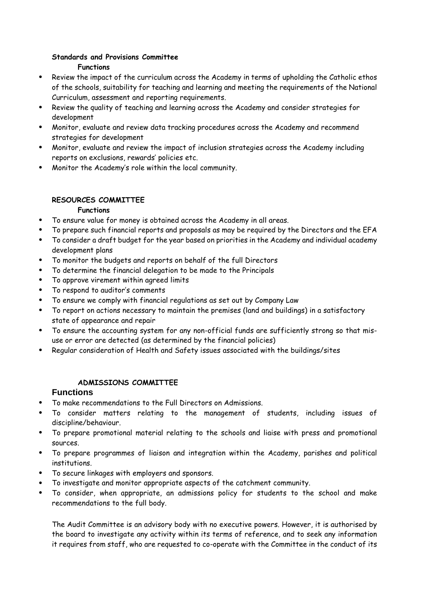#### **Standards and Provisions Committee Functions**

- Review the impact of the curriculum across the Academy in terms of upholding the Catholic ethos of the schools, suitability for teaching and learning and meeting the requirements of the National Curriculum, assessment and reporting requirements.
- Review the quality of teaching and learning across the Academy and consider strategies for development
- Monitor, evaluate and review data tracking procedures across the Academy and recommend strategies for development
- Monitor, evaluate and review the impact of inclusion strategies across the Academy including reports on exclusions, rewards' policies etc.
- Monitor the Academy's role within the local community.

## **RESOURCES COMMITTEE**

#### **Functions**

- To ensure value for money is obtained across the Academy in all areas.
- To prepare such financial reports and proposals as may be required by the Directors and the EFA
- To consider a draft budget for the year based on priorities in the Academy and individual academy development plans
- To monitor the budgets and reports on behalf of the full Directors
- To determine the financial delegation to be made to the Principals
- To approve virement within agreed limits
- To respond to auditor's comments
- To ensure we comply with financial regulations as set out by Company Law
- To report on actions necessary to maintain the premises (land and buildings) in a satisfactory state of appearance and repair
- To ensure the accounting system for any non-official funds are sufficiently strong so that misuse or error are detected (as determined by the financial policies)
- Regular consideration of Health and Safety issues associated with the buildings/sites

# **ADMISSIONS COMMITTEE**

## **Functions**

- To make recommendations to the Full Directors on Admissions.
- To consider matters relating to the management of students, including issues of discipline/behaviour.
- To prepare promotional material relating to the schools and liaise with press and promotional sources.
- To prepare programmes of liaison and integration within the Academy, parishes and political institutions.
- To secure linkages with employers and sponsors.
- To investigate and monitor appropriate aspects of the catchment community.
- To consider, when appropriate, an admissions policy for students to the school and make recommendations to the full body.

The Audit Committee is an advisory body with no executive powers. However, it is authorised by the board to investigate any activity within its terms of reference, and to seek any information it requires from staff, who are requested to co-operate with the Committee in the conduct of its